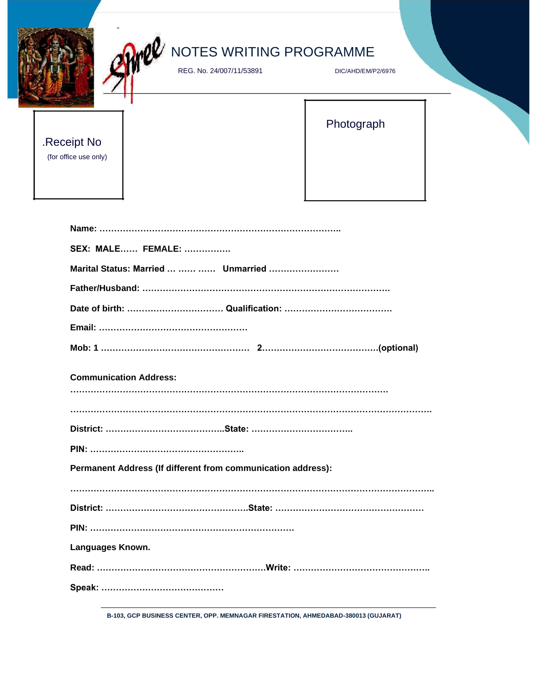| NOTES WRITING PROGRAMME<br>REG. No. 24/007/11/53891          | DIC/AHD/EM/P2/6976 |  |
|--------------------------------------------------------------|--------------------|--|
| .Receipt No<br>(for office use only)                         | Photograph         |  |
|                                                              |                    |  |
| <b>SEX: MALE FEMALE: </b>                                    |                    |  |
| Marital Status: Married    Unmarried                         |                    |  |
|                                                              |                    |  |
|                                                              |                    |  |
|                                                              |                    |  |
|                                                              |                    |  |
| <b>Communication Address:</b>                                |                    |  |
|                                                              |                    |  |
|                                                              |                    |  |
| Permanent Address (If different from communication address): |                    |  |
|                                                              |                    |  |
|                                                              |                    |  |
| Languages Known.                                             |                    |  |
|                                                              |                    |  |
|                                                              |                    |  |
|                                                              |                    |  |

**B-103, GCP BUSINESS CENTER, OPP. MEMNAGAR FIRESTATION, AHMEDABAD-380013 (GUJARAT)**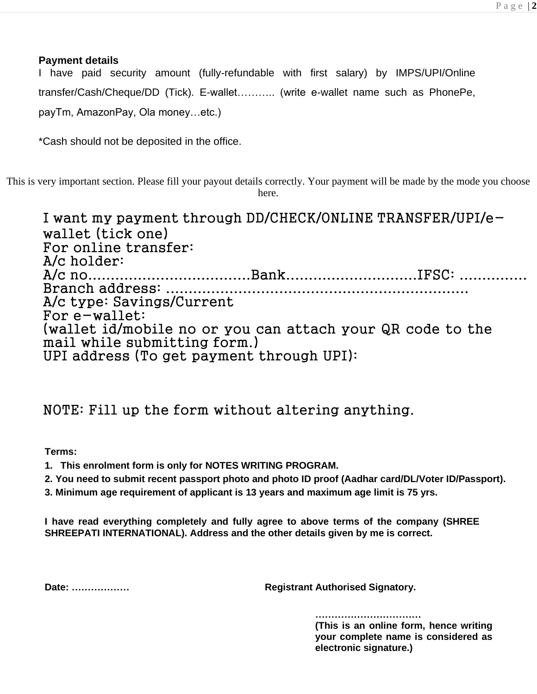### **Payment details**

I have paid security amount (fully-refundable with first salary) by IMPS/UPI/Online transfer/Cash/Cheque/DD (Tick). E-wallet……….. (write e-wallet name such as PhonePe, payTm, AmazonPay, Ola money…etc.)

\*Cash should not be deposited in the office.

This is very important section. Please fill your payout details correctly. Your payment will be made by the mode you choose here.

I want my payment through DD/CHECK/ONLINE TRANSFER/UPI/ewallet (tick one) For online transfer: A/c holder: A/c no....................................Bank.............................IFSC: ............... Branch address: ................................................................... A/c type: Savings/Current For e-wallet: (wallet id/mobile no or you can attach your QR code to the mail while submitting form.) UPI address (To get payment through UPI):

## NOTE: Fill up the form without altering anything.

**Terms:**

- **1. This enrolment form is only for NOTES WRITING PROGRAM.**
- **2. You need to submit recent passport photo and photo ID proof (Aadhar card/DL/Voter ID/Passport).**
- **3. Minimum age requirement of applicant is 13 years and maximum age limit is 75 yrs.**

**I have read everything completely and fully agree to above terms of the company (SHREE SHREEPATI INTERNATIONAL). Address and the other details given by me is correct.**

**Date: ……………… Registrant Authorised Signatory.**

**……………………………**

**(This is an online form, hence writing your complete name is considered as electronic signature.)**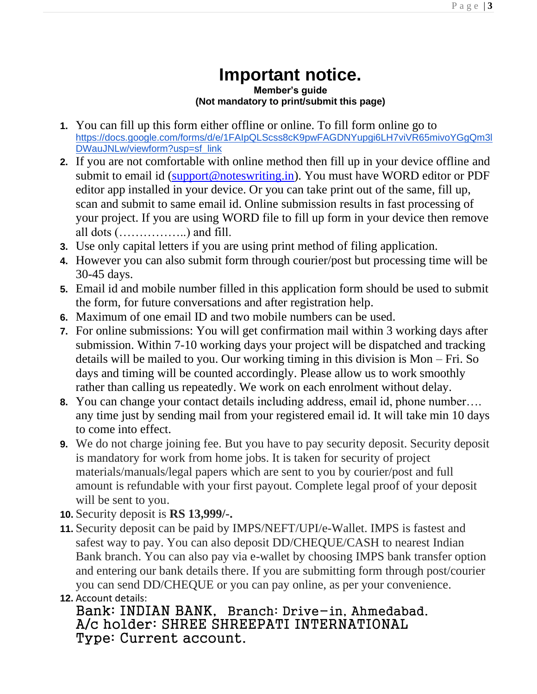# **Important notice.**

#### **Member's guide (Not mandatory to print/submit this page)**

- **1.** You can fill up this form either offline or online. To fill form online go to [https://docs.google.com/forms/d/e/1FAIpQLScss8cK9pwFAGDNYupgi6LH7viVR65mivoYGgQm3l](https://docs.google.com/forms/d/e/1FAIpQLScss8cK9pwFAGDNYupgi6LH7viVR65mivoYGgQm3lDWauJNLw/viewform?usp=sf_link) [DWauJNLw/viewform?usp=sf\\_link](https://docs.google.com/forms/d/e/1FAIpQLScss8cK9pwFAGDNYupgi6LH7viVR65mivoYGgQm3lDWauJNLw/viewform?usp=sf_link)
- **2.** If you are not comfortable with online method then fill up in your device offline and submit to email id [\(support@noteswriting.in\)](mailto:support@noteswriting.in). You must have WORD editor or PDF editor app installed in your device. Or you can take print out of the same, fill up, scan and submit to same email id. Online submission results in fast processing of your project. If you are using WORD file to fill up form in your device then remove all dots (……………..) and fill.
- **3.** Use only capital letters if you are using print method of filing application.
- **4.** However you can also submit form through courier/post but processing time will be 30-45 days.
- **5.** Email id and mobile number filled in this application form should be used to submit the form, for future conversations and after registration help.
- **6.** Maximum of one email ID and two mobile numbers can be used.
- **7.** For online submissions: You will get confirmation mail within 3 working days after submission. Within 7-10 working days your project will be dispatched and tracking details will be mailed to you. Our working timing in this division is Mon – Fri. So days and timing will be counted accordingly. Please allow us to work smoothly rather than calling us repeatedly. We work on each enrolment without delay.
- **8.** You can change your contact details including address, email id, phone number…. any time just by sending mail from your registered email id. It will take min 10 days to come into effect.
- **9.** We do not charge joining fee. But you have to pay security deposit. Security deposit is mandatory for work from home jobs. It is taken for security of project materials/manuals/legal papers which are sent to you by courier/post and full amount is refundable with your first payout. Complete legal proof of your deposit will be sent to you.
- **10.** Security deposit is **RS 13,999/-.**
- **11.** Security deposit can be paid by IMPS/NEFT/UPI/e-Wallet. IMPS is fastest and safest way to pay. You can also deposit DD/CHEQUE/CASH to nearest Indian Bank branch. You can also pay via e-wallet by choosing IMPS bank transfer option and entering our bank details there. If you are submitting form through post/courier you can send DD/CHEQUE or you can pay online, as per your convenience.

```
12. Account details:
```
Bank: INDIAN BANK, Branch: Drive-in, Ahmedabad. A/c holder: SHREE SHREEPATI INTERNATIONAL Type: Current account.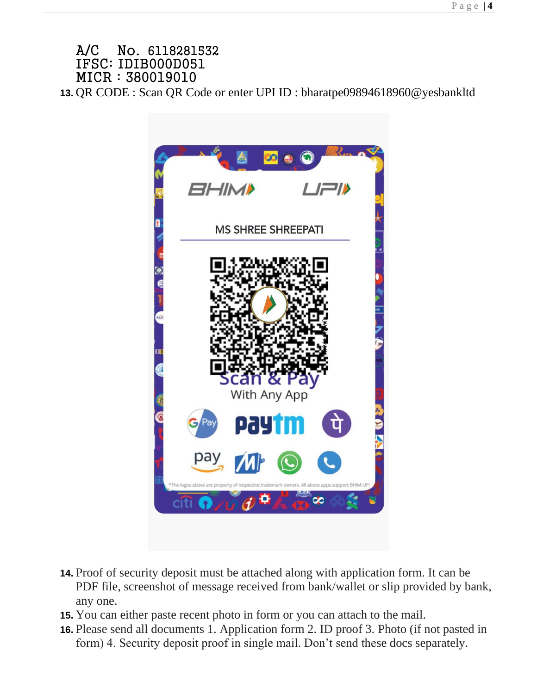### A/C No. 6118281532 IFSC: IDIB000D051 MICR : 380019010

**13.** QR CODE : Scan QR Code or enter UPI ID : bharatpe09894618960@yesbankltd



- **14.** Proof of security deposit must be attached along with application form. It can be PDF file, screenshot of message received from bank/wallet or slip provided by bank, any one.
- **15.** You can either paste recent photo in form or you can attach to the mail.
- **16.** Please send all documents 1. Application form 2. ID proof 3. Photo (if not pasted in form) 4. Security deposit proof in single mail. Don't send these docs separately.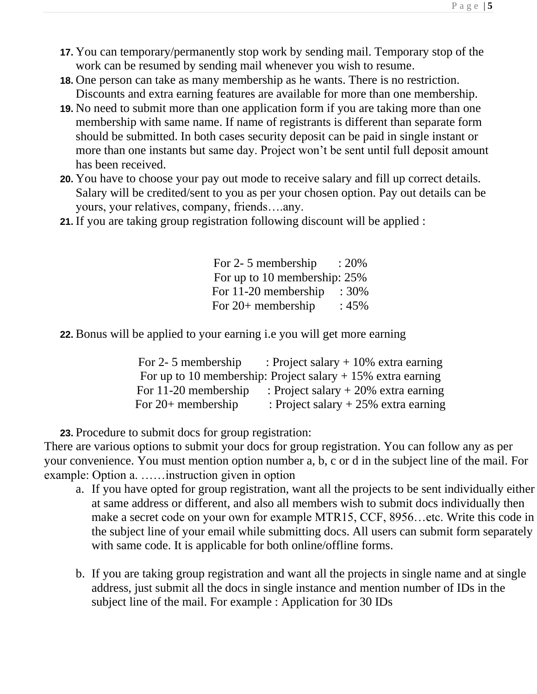- **17.** You can temporary/permanently stop work by sending mail. Temporary stop of the work can be resumed by sending mail whenever you wish to resume.
- **18.** One person can take as many membership as he wants. There is no restriction. Discounts and extra earning features are available for more than one membership.
- **19.** No need to submit more than one application form if you are taking more than one membership with same name. If name of registrants is different than separate form should be submitted. In both cases security deposit can be paid in single instant or more than one instants but same day. Project won't be sent until full deposit amount has been received.
- **20.** You have to choose your pay out mode to receive salary and fill up correct details. Salary will be credited/sent to you as per your chosen option. Pay out details can be yours, your relatives, company, friends….any.
- **21.** If you are taking group registration following discount will be applied :

For 2-5 membership : 20% For up to 10 membership: 25% For 11-20 membership : 30% For 20+ membership : 45%

**22.** Bonus will be applied to your earning i.e you will get more earning

| For 2-5 membership                                             | : Project salary $+10\%$ extra earning |
|----------------------------------------------------------------|----------------------------------------|
| For up to 10 membership: Project salary $+ 15\%$ extra earning |                                        |
| For 11-20 membership                                           | : Project salary $+20\%$ extra earning |
| For $20+$ membership                                           | : Project salary $+25%$ extra earning  |

**23.** Procedure to submit docs for group registration:

There are various options to submit your docs for group registration. You can follow any as per your convenience. You must mention option number a, b, c or d in the subject line of the mail. For example: Option a. ……instruction given in option

- a. If you have opted for group registration, want all the projects to be sent individually either at same address or different, and also all members wish to submit docs individually then make a secret code on your own for example MTR15, CCF, 8956…etc. Write this code in the subject line of your email while submitting docs. All users can submit form separately with same code. It is applicable for both online/offline forms.
- b. If you are taking group registration and want all the projects in single name and at single address, just submit all the docs in single instance and mention number of IDs in the subject line of the mail. For example : Application for 30 IDs